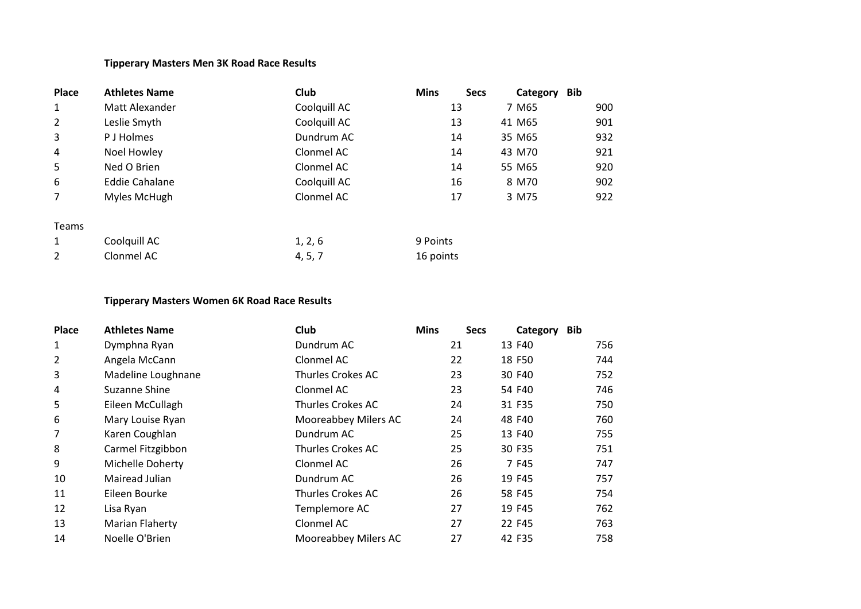## **Tipperary Masters Men 3K Road Race Results**

| <b>Place</b>   | <b>Athletes Name</b>  | <b>Club</b>  | <b>Mins</b> | <b>Secs</b> | Category | Bib |     |
|----------------|-----------------------|--------------|-------------|-------------|----------|-----|-----|
| 1              | Matt Alexander        | Coolquill AC | 13          |             | 7 M65    |     | 900 |
| $\overline{2}$ | Leslie Smyth          | Coolquill AC | 13          |             | 41 M65   |     | 901 |
| 3              | P J Holmes            | Dundrum AC   | 14          |             | 35 M65   |     | 932 |
| 4              | Noel Howley           | Clonmel AC   | 14          |             | 43 M70   |     | 921 |
| 5              | Ned O Brien           | Clonmel AC   | 14          |             | 55 M65   |     | 920 |
| 6              | <b>Eddie Cahalane</b> | Coolquill AC | 16          |             | 8 M70    |     | 902 |
| 7              | Myles McHugh          | Clonmel AC   | 17          |             | 3 M75    |     | 922 |
| <b>Teams</b>   |                       |              |             |             |          |     |     |
| 1              | Coolquill AC          | 1, 2, 6      | 9 Points    |             |          |     |     |
| 2              | Clonmel AC            | 4, 5, 7      | 16 points   |             |          |     |     |

## **Tipperary Masters Women 6K Road Race Results**

| Place          | <b>Athletes Name</b>   | <b>Club</b>              | <b>Mins</b> | <b>Secs</b> | <b>Bib</b><br>Category |     |
|----------------|------------------------|--------------------------|-------------|-------------|------------------------|-----|
| $\mathbf{1}$   | Dymphna Ryan           | Dundrum AC               |             | 21          | 13 F40                 | 756 |
| $\overline{2}$ | Angela McCann          | Clonmel AC               |             | 22          | 18 F50                 | 744 |
| 3              | Madeline Loughnane     | Thurles Crokes AC        |             | 23          | 30 F40                 | 752 |
| 4              | Suzanne Shine          | Clonmel AC               |             | 23          | 54 F40                 | 746 |
| 5              | Eileen McCullagh       | Thurles Crokes AC        |             | 24          | 31 F35                 | 750 |
| 6              | Mary Louise Ryan       | Mooreabbey Milers AC     |             | 24          | 48 F40                 | 760 |
| 7              | Karen Coughlan         | Dundrum AC               |             | 25          | 13 F40                 | 755 |
| 8              | Carmel Fitzgibbon      | <b>Thurles Crokes AC</b> |             | 25          | 30 F35                 | 751 |
| 9              | Michelle Doherty       | Clonmel AC               |             | 26          | 7 F45                  | 747 |
| 10             | Mairead Julian         | Dundrum AC               |             | 26          | 19 F45                 | 757 |
| 11             | Eileen Bourke          | Thurles Crokes AC        |             | 26          | 58 F45                 | 754 |
| 12             | Lisa Ryan              | Templemore AC            |             | 27          | 19 F45                 | 762 |
| 13             | <b>Marian Flaherty</b> | Clonmel AC               |             | 27          | 22 F45                 | 763 |
| 14             | Noelle O'Brien         | Mooreabbey Milers AC     |             | 27          | 42 F35                 | 758 |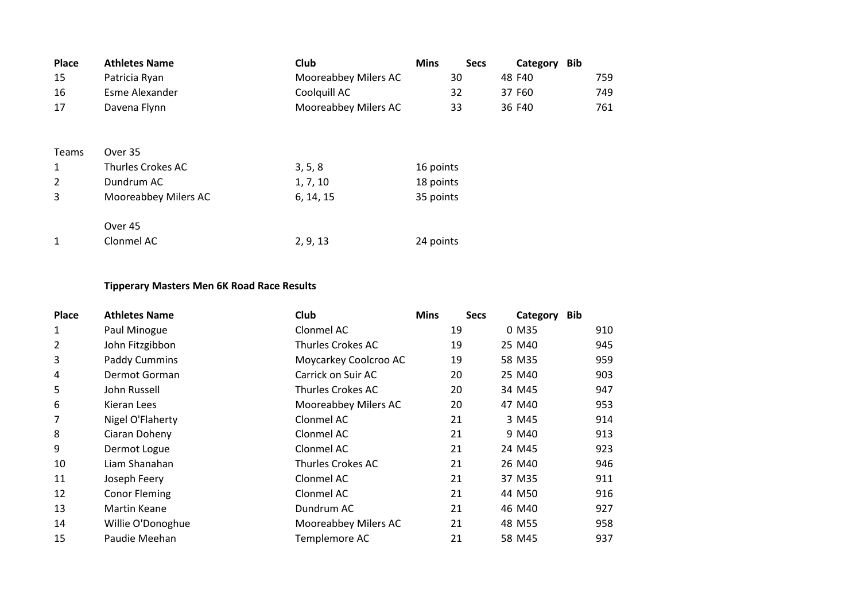| <b>Place</b> | <b>Athletes Name</b> | <b>Club</b>          | <b>Mins</b><br><b>Secs</b> | Bib<br>Category |     |
|--------------|----------------------|----------------------|----------------------------|-----------------|-----|
| 15           | Patricia Ryan        | Mooreabbey Milers AC | 30                         | 48 F40          | 759 |
| 16           | Esme Alexander       | Coolquill AC         | 32                         | 37 F60          | 749 |
| 17           | Davena Flynn         | Mooreabbey Milers AC | 33                         | 36 F40          | 761 |
|              |                      |                      |                            |                 |     |
| Teams        | Over 35              |                      |                            |                 |     |
| 1            | Thurles Crokes AC    | 3, 5, 8              | 16 points                  |                 |     |
| 2            | Dundrum AC           | 1, 7, 10             | 18 points                  |                 |     |
| 3            | Mooreabbey Milers AC | 6, 14, 15            | 35 points                  |                 |     |
|              |                      |                      |                            |                 |     |
|              | Over 45              |                      |                            |                 |     |
| 1            | Clonmel AC           | 2, 9, 13             | 24 points                  |                 |     |
|              |                      |                      |                            |                 |     |

## **Tipperary Masters Men 6K Road Race Results**

| <b>Place</b> | <b>Athletes Name</b> | <b>Club</b>           | <b>Mins</b> | <b>Secs</b> | Category | <b>Bib</b> |     |
|--------------|----------------------|-----------------------|-------------|-------------|----------|------------|-----|
| 1            | Paul Minogue         | Clonmel AC            |             | 19          | 0 M35    |            | 910 |
| 2            | John Fitzgibbon      | Thurles Crokes AC     |             | 19          | 25 M40   |            | 945 |
| 3            | Paddy Cummins        | Moycarkey Coolcroo AC |             | 19          | 58 M35   |            | 959 |
| 4            | Dermot Gorman        | Carrick on Suir AC    |             | 20          | 25 M40   |            | 903 |
| 5            | John Russell         | Thurles Crokes AC     |             | 20          | 34 M45   |            | 947 |
| 6            | Kieran Lees          | Mooreabbey Milers AC  |             | 20          | 47 M40   |            | 953 |
| 7            | Nigel O'Flaherty     | Clonmel AC            |             | 21          | 3 M45    |            | 914 |
| 8            | Ciaran Doheny        | Clonmel AC            |             | 21          | 9 M40    |            | 913 |
| 9            | Dermot Logue         | Clonmel AC            |             | 21          | 24 M45   |            | 923 |
| 10           | Liam Shanahan        | Thurles Crokes AC     |             | 21          | 26 M40   |            | 946 |
| 11           | Joseph Feery         | Clonmel AC            |             | 21          | 37 M35   |            | 911 |
| 12           | <b>Conor Fleming</b> | Clonmel AC            |             | 21          | 44 M50   |            | 916 |
| 13           | Martin Keane         | Dundrum AC            |             | 21          | 46 M40   |            | 927 |
| 14           | Willie O'Donoghue    | Mooreabbey Milers AC  |             | 21          | 48 M55   |            | 958 |
| 15           | Paudie Meehan        | Templemore AC         |             | 21          | 58 M45   |            | 937 |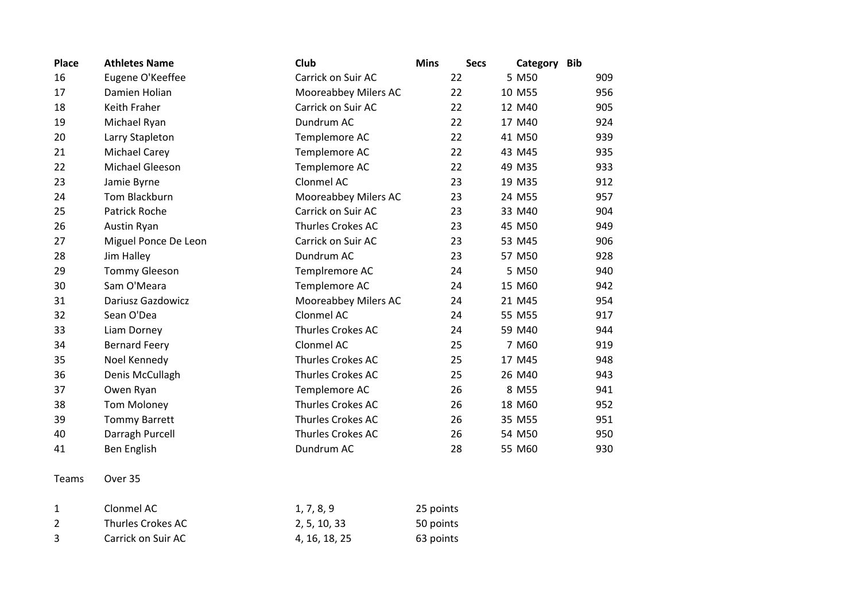| <b>Place</b> | <b>Athletes Name</b>     | Club                 | <b>Mins</b><br><b>Secs</b> | Category<br><b>Bib</b> |
|--------------|--------------------------|----------------------|----------------------------|------------------------|
| 16           | Eugene O'Keeffee         | Carrick on Suir AC   | 22                         | 5 M50<br>909           |
| 17           | Damien Holian            | Mooreabbey Milers AC | 22                         | 10 M55<br>956          |
| 18           | Keith Fraher             | Carrick on Suir AC   | 22                         | 905<br>12 M40          |
| 19           | Michael Ryan             | Dundrum AC           | 22                         | 17 M40<br>924          |
| 20           | Larry Stapleton          | Templemore AC        | 22                         | 41 M50<br>939          |
| 21           | <b>Michael Carey</b>     | Templemore AC        | 22                         | 43 M45<br>935          |
| 22           | Michael Gleeson          | Templemore AC        | 22                         | 933<br>49 M35          |
| 23           | Jamie Byrne              | Clonmel AC           | 23                         | 19 M35<br>912          |
| 24           | Tom Blackburn            | Mooreabbey Milers AC | 23                         | 24 M55<br>957          |
| 25           | Patrick Roche            | Carrick on Suir AC   | 23                         | 904<br>33 M40          |
| 26           | Austin Ryan              | Thurles Crokes AC    | 23                         | 45 M50<br>949          |
| 27           | Miguel Ponce De Leon     | Carrick on Suir AC   | 23                         | 906<br>53 M45          |
| 28           | Jim Halley               | Dundrum AC           | 23                         | 57 M50<br>928          |
| 29           | <b>Tommy Gleeson</b>     | Templremore AC       | 24                         | 5 M50<br>940           |
| 30           | Sam O'Meara              | Templemore AC        | 24                         | 15 M60<br>942          |
| 31           | <b>Dariusz Gazdowicz</b> | Mooreabbey Milers AC | 24                         | 21 M45<br>954          |
| 32           | Sean O'Dea               | Clonmel AC           | 24                         | 55 M55<br>917          |
| 33           | Liam Dorney              | Thurles Crokes AC    | 24                         | 59 M40<br>944          |
| 34           | <b>Bernard Feery</b>     | Clonmel AC           | 25                         | 7 M60<br>919           |
| 35           | Noel Kennedy             | Thurles Crokes AC    | 25                         | 17 M45<br>948          |
| 36           | Denis McCullagh          | Thurles Crokes AC    | 25                         | 26 M40<br>943          |
| 37           | Owen Ryan                | Templemore AC        | 26                         | 8 M55<br>941           |
| 38           | <b>Tom Moloney</b>       | Thurles Crokes AC    | 26                         | 18 M60<br>952          |
| 39           | <b>Tommy Barrett</b>     | Thurles Crokes AC    | 26                         | 35 M55<br>951          |
| 40           | Darragh Purcell          | Thurles Crokes AC    | 26                         | 54 M50<br>950          |
| 41           | Ben English              | Dundrum AC           | 28                         | 930<br>55 M60          |
| Teams        | Over 35                  |                      |                            |                        |

| Clonmel AC         | 1, 7, 8, 9    | 25 points |
|--------------------|---------------|-----------|
| Thurles Crokes AC  | 2, 5, 10, 33  | 50 points |
| Carrick on Suir AC | 4, 16, 18, 25 | 63 points |